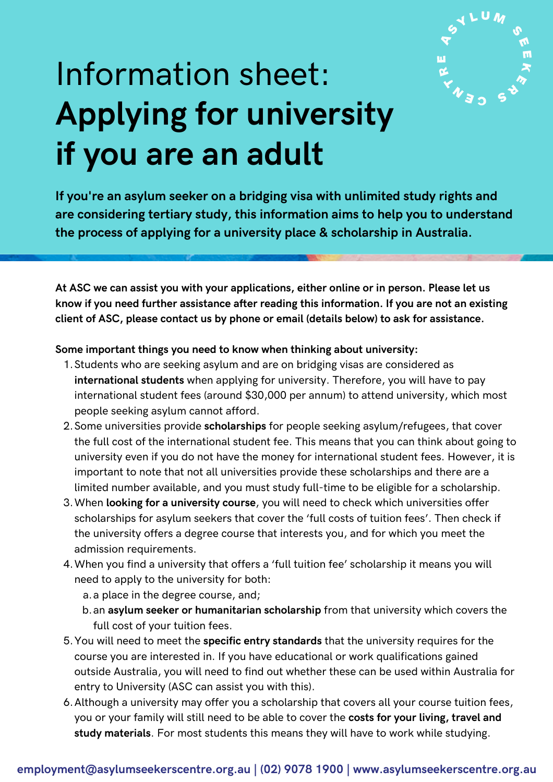

# Information sheet: **Applying for university if you are an adult**

**If you're an asylum seeker on a bridging visa with unlimited study rights and are considering tertiary study, this information aims to help you to understand the process of applying for a university place & scholarship in Australia.**

**At ASC we can assist you with your applications, either online or in person. Please let us know if you need further assistance after reading this information. If you are not an existing client of ASC, please contact us by phone or email (details below) to ask for assistance.**

### **Some important things you need to know when thinking about university:**

- Students who are seeking asylum and are on bridging visas are considered as 1. **international students** when applying for university. Therefore, you will have to pay international student fees (around \$30,000 per annum) to attend university, which most people seeking asylum cannot afford.
- 2. Some universities provide **scholarships** for people seeking asylum/refugees, that cover the full cost of the international student fee. This means that you can think about going to university even if you do not have the money for international student fees. However, it is important to note that not all universities provide these scholarships and there are a limited number available, and you must study full-time to be eligible for a scholarship.
- 3. When **looking for a university course**, you will need to check which universities offer scholarships for asylum seekers that cover the 'full costs of tuition fees'. Then check if the university offers a degree course that interests you, and for which you meet the admission requirements.
- 4. When you find a university that offers a 'full tuition fee' scholarship it means you will need to apply to the university for both:

a. a place in the degree course, and;

- b. an **asylum seeker or humanitarian scholarship** from that university which covers the full cost of your tuition fees.
- You will need to meet the **specific entry standards** that the university requires for the 5. course you are interested in. If you have educational or work qualifications gained outside Australia, you will need to find out whether these can be used within Australia for entry to University (ASC can assist you with this).
- Although a university may offer you a scholarship that covers all your course tuition fees, 6. you or your family will still need to be able to cover the **costs for your living, travel and study materials**. For most students this means they will have to work while studying.